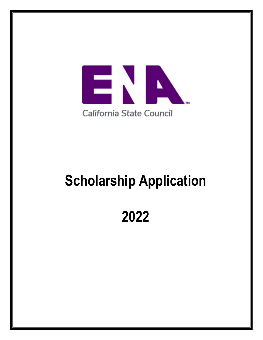

# **Scholarship Application**

# **2022**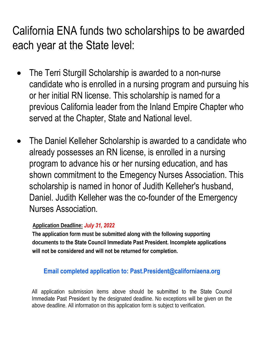California ENA funds two scholarships to be awarded each year at the State level:

- The Terri Sturgill Scholarship is awarded to a non-nurse candidate who is enrolled in a nursing program and pursuing his or her initial RN license. This scholarship is named for a previous California leader from the Inland Empire Chapter who served at the Chapter, State and National level.
- [The Daniel Kelleher Scholarship is awarded to a candidate w](http://www.ena.org/about/elections/Documents/FAQs.pdf)ho already possesses an RN license, is enrolled in a nursing program to advance his or her nursing education, and has shown commitment to the Emegency Nurses Association. This scholarship is named in honor of Judith Kelleher's husband, Daniel. Judi[th Kelleher](mailto:elections@ena.org) was t[he co-foun](mailto:elections@ena.org)der of the Emergency Nurses Association.

#### **A[pplication Dead](http://www.ena.org/about/bylaws/Documents/ENABylaws.pdf)line:** *July 31, 2022*

**The [application form](http://www.ena.org/about/elections/Documents/ElectionRules.pdf) must be submitted along with the following supporting documents to the State Council Immediate Past President. Incomplete applications will not be considered and will not be returned for completion.**

#### **Email completed applicatio[n to: Past.President](mailto:elections@ena.org)@californiaena.org**

All application submission items above should be submitted to the State Council Immediate Past President by the designated deadline. No exceptions will be given on the above deadline. All information [on this application f](http://www.ena.org/about/elections/Documents/DisclosureandAuthorization.pdf)[orm is subject](mailto:elections@ena.org) to verification.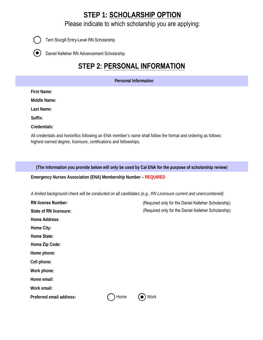#### **STEP 1: SCHOLARSHIP OPTION**

Please indicate to which scholarship you are applying:



Terri Sturgill Entry-Level RN Scholarship

Daniel Kelleher RN Advancement Scholarship  $( \, \bullet \, )$ 

## **STEP 2: PERSONAL INFORMATION**

**Personal Information** 

**First Name:**

**Middle Name:**

**Last Name:**

**Suffix:**

**Credentials:**

All credentials and honorifics following an ENA member's name shall follow the format and ordering as follows: highest earned degree, licensure, certifications and fellowships.

**(The information you provide below will only be used by Cal ENA for the purpose of scholarship review)**

**Emergency Nurses Association (ENA) Membership Number – REQUIRED**

*A limited background check will be conducted on all candidates (e.g., RN Licensure current and unencumbered)*

| <b>RN license Number:</b>     |      | (Required only for the Daniel Kelleher Scholarship) |
|-------------------------------|------|-----------------------------------------------------|
| <b>State of RN licensure:</b> |      | (Required only for the Daniel Kelleher Scholarship) |
| <b>Home Address:</b>          |      |                                                     |
| <b>Home City:</b>             |      |                                                     |
| <b>Home State:</b>            |      |                                                     |
| Home Zip Code:                |      |                                                     |
| Home phone:                   |      |                                                     |
| Cell phone:                   |      |                                                     |
| Work phone:                   |      |                                                     |
| Home email:                   |      |                                                     |
| Work email:                   |      |                                                     |
| Preferred email address:      | Home | Work                                                |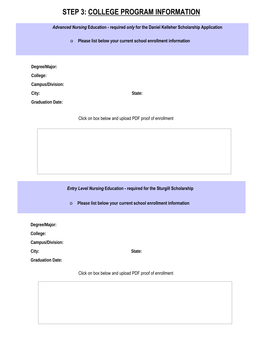#### **STEP 3: COLLEGE PROGRAM INFORMATION**

*Advanced Nursing* **Education - required** *only* **for the Daniel Kelleher Scholarship Application**

o **Please list below your current school enrollment information**

| Degree/Major:           |        |
|-------------------------|--------|
| College:                |        |
| Campus/Division:        |        |
| City:                   | State: |
| <b>Graduation Date:</b> |        |

Click on box below and upload PDF proof of enrollment

*Entry Level Nursing* **Education - required for the Sturgill Scholarship**

o **Please list below your current school enrollment information**

| Degree/Major:           |        |
|-------------------------|--------|
| College:                |        |
| Campus/Division:        |        |
| City:                   | State: |
| <b>Graduation Date:</b> |        |
|                         |        |

Click on box below and upload PDF proof of enrollment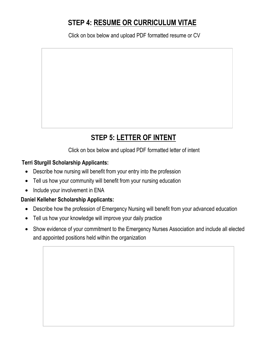# **STEP 4: RESUME OR CURRICULUM VITAE**

Click on box below and upload PDF formatted resume or CV

# **STEP 5: LETTER OF INTENT**

Click on box below and upload PDF formatted letter of intent

#### **Terri Sturgill Scholarship Applicants:**

- Describe how nursing will benefit from your entry into the profession
- Tell us how your community will benefit from your nursing education
- Include your involvement in ENA

#### **Daniel Kelleher Scholarship Applicants:**

- Describe how the profession of Emergency Nursing will benefit from your advanced education
- Tell us how your knowledge will improve your daily practice
- Show evidence of your commitment to the Emergency Nurses Association and include all elected and appointed positions held within the organization